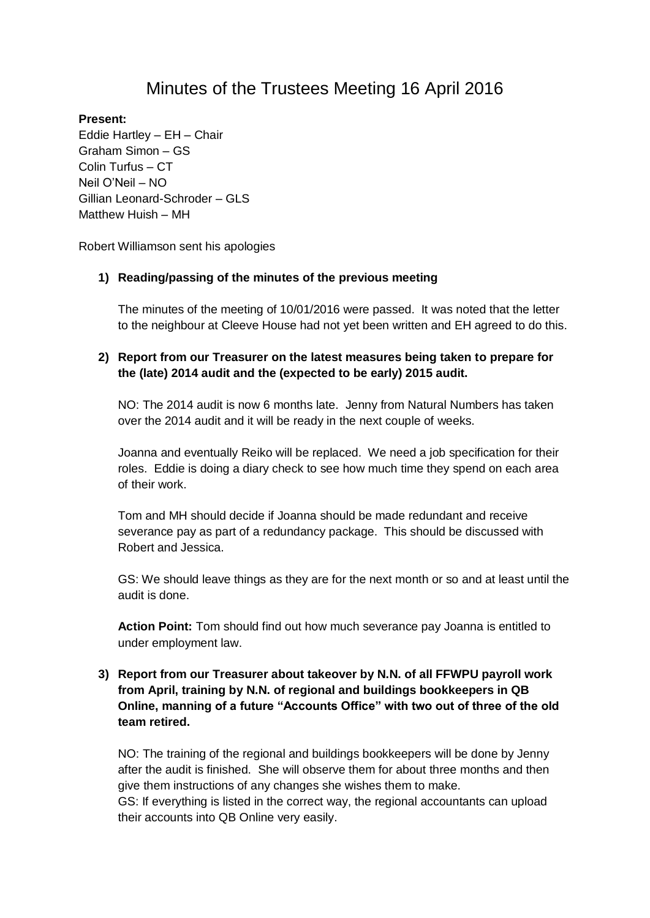# Minutes of the Trustees Meeting 16 April 2016

#### **Present:**

Eddie Hartley – EH – Chair Graham Simon – GS Colin Turfus – CT Neil O'Neil – NO Gillian Leonard-Schroder – GLS Matthew Huish – MH

Robert Williamson sent his apologies

#### **1) Reading/passing of the minutes of the previous meeting**

The minutes of the meeting of 10/01/2016 were passed. It was noted that the letter to the neighbour at Cleeve House had not yet been written and EH agreed to do this.

## **2) Report from our Treasurer on the latest measures being taken to prepare for the (late) 2014 audit and the (expected to be early) 2015 audit.**

NO: The 2014 audit is now 6 months late. Jenny from Natural Numbers has taken over the 2014 audit and it will be ready in the next couple of weeks.

Joanna and eventually Reiko will be replaced. We need a job specification for their roles. Eddie is doing a diary check to see how much time they spend on each area of their work.

Tom and MH should decide if Joanna should be made redundant and receive severance pay as part of a redundancy package. This should be discussed with Robert and Jessica.

GS: We should leave things as they are for the next month or so and at least until the audit is done.

**Action Point:** Tom should find out how much severance pay Joanna is entitled to under employment law.

# **3) Report from our Treasurer about takeover by N.N. of all FFWPU payroll work from April, training by N.N. of regional and buildings bookkeepers in QB Online, manning of a future "Accounts Office" with two out of three of the old team retired.**

NO: The training of the regional and buildings bookkeepers will be done by Jenny after the audit is finished. She will observe them for about three months and then give them instructions of any changes she wishes them to make.

GS: If everything is listed in the correct way, the regional accountants can upload their accounts into QB Online very easily.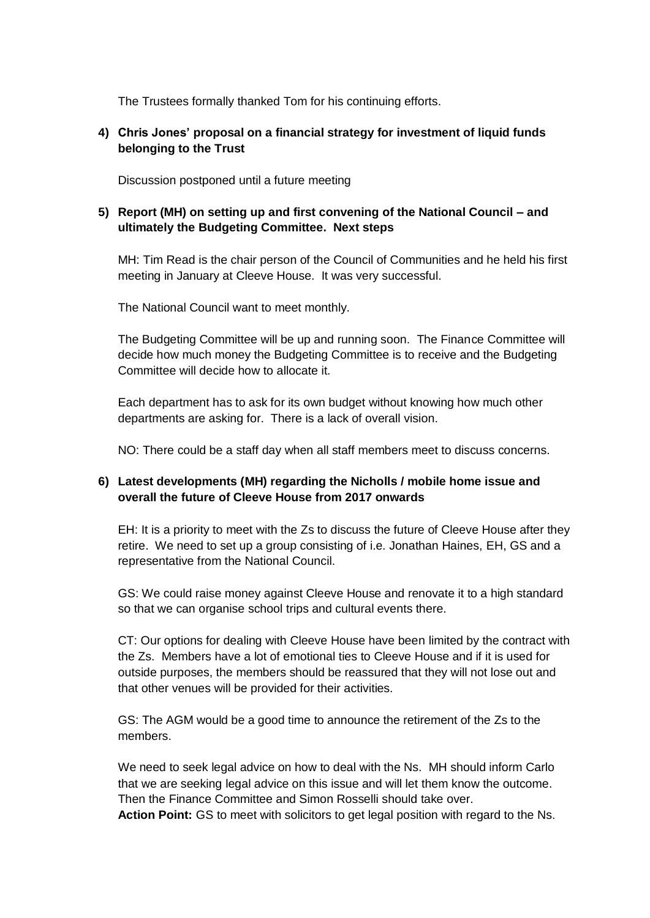The Trustees formally thanked Tom for his continuing efforts.

# **4) Chris Jones' proposal on a financial strategy for investment of liquid funds belonging to the Trust**

Discussion postponed until a future meeting

# **5) Report (MH) on setting up and first convening of the National Council – and ultimately the Budgeting Committee. Next steps**

MH: Tim Read is the chair person of the Council of Communities and he held his first meeting in January at Cleeve House. It was very successful.

The National Council want to meet monthly.

The Budgeting Committee will be up and running soon. The Finance Committee will decide how much money the Budgeting Committee is to receive and the Budgeting Committee will decide how to allocate it.

Each department has to ask for its own budget without knowing how much other departments are asking for. There is a lack of overall vision.

NO: There could be a staff day when all staff members meet to discuss concerns.

# **6) Latest developments (MH) regarding the Nicholls / mobile home issue and overall the future of Cleeve House from 2017 onwards**

EH: It is a priority to meet with the Zs to discuss the future of Cleeve House after they retire. We need to set up a group consisting of i.e. Jonathan Haines, EH, GS and a representative from the National Council.

GS: We could raise money against Cleeve House and renovate it to a high standard so that we can organise school trips and cultural events there.

CT: Our options for dealing with Cleeve House have been limited by the contract with the Zs. Members have a lot of emotional ties to Cleeve House and if it is used for outside purposes, the members should be reassured that they will not lose out and that other venues will be provided for their activities.

GS: The AGM would be a good time to announce the retirement of the Zs to the members.

We need to seek legal advice on how to deal with the Ns. MH should inform Carlo that we are seeking legal advice on this issue and will let them know the outcome. Then the Finance Committee and Simon Rosselli should take over.

**Action Point:** GS to meet with solicitors to get legal position with regard to the Ns.